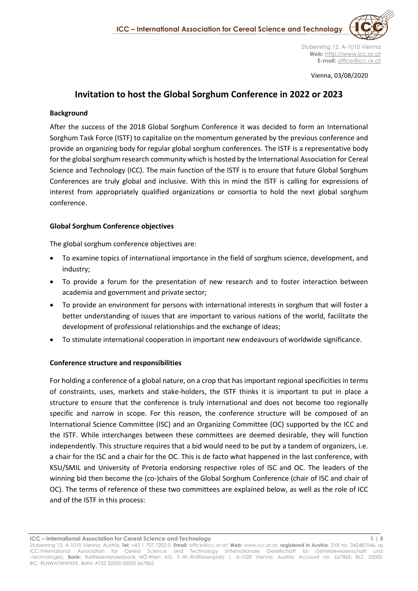Stubenring 12, A-1010 Vienna **Web:** [http://www.icc.or.at](http://www.icc.or.at/) **E-mail:** office@icc.or.at

Vienna, 03/08/2020

# **Invitation to host the Global Sorghum Conference in 2022 or 2023**

### **Background**

After the success of the 2018 Global Sorghum Conference it was decided to form an International Sorghum Task Force (ISTF) to capitalize on the momentum generated by the previous conference and provide an organizing body for regular global sorghum conferences. The ISTF is a representative body for the global sorghum research community which is hosted by the International Association for Cereal Science and Technology (ICC). The main function of the ISTF is to ensure that future Global Sorghum Conferences are truly global and inclusive. With this in mind the ISTF is calling for expressions of interest from appropriately qualified organizations or consortia to hold the next global sorghum conference.

### **Global Sorghum Conference objectives**

The global sorghum conference objectives are:

- To examine topics of international importance in the field of sorghum science, development, and industry;
- To provide a forum for the presentation of new research and to foster interaction between academia and government and private sector;
- To provide an environment for persons with international interests in sorghum that will foster a better understanding of issues that are important to various nations of the world, facilitate the development of professional relationships and the exchange of ideas;
- To stimulate international cooperation in important new endeavours of worldwide significance.

# **Conference structure and responsibilities**

For holding a conference of a global nature, on a crop that has important regional specificities in terms of constraints, uses, markets and stake-holders, the ISTF thinks it is important to put in place a structure to ensure that the conference is truly international and does not become too regionally specific and narrow in scope. For this reason, the conference structure will be composed of an International Science Committee (ISC) and an Organizing Committee (OC) supported by the ICC and the ISTF. While interchanges between these committees are deemed desirable, they will function independently. This structure requires that a bid would need to be put by a tandem of organizers, i.e. a chair for the ISC and a chair for the OC. This is de facto what happened in the last conference, with KSU/SMIL and University of Pretoria endorsing respective roles of ISC and OC. The leaders of the winning bid then become the (co-)chairs of the Global Sorghum Conference (chair of ISC and chair of OC). The terms of reference of these two committees are explained below, as well as the role of ICC and of the ISTF in this process:

**ICC – International Association for Cereal Science and Technology 1 | 5**

Stubenring 12, A-1010 Vienna, Austria, **Tel:** +43 1 707 7202.0, **Email:** [office@icc.or.at;](mailto:office@icc.or.at) **Web:** [www.icc.or.at,](http://www.icc.or.at/) **registered in Austria**: ZVR no. 042487046, as ICC-International Association for Cereal Science and Technology (Internationale Gesellschaft für Getreidewissenschaft –technologie), **Bank:** Raiffeisenlandesbank NÖ-Wien AG, F.-W.-Raiffeisenplatz 1, A-1020 Vienna, Austria; Account no. 667865; BLZ: 32000; BIC: RLNWATWWXXX; IBAN: AT52 32000 00000 667865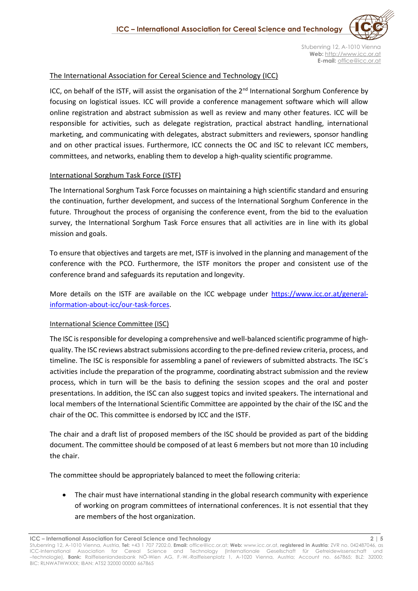

### The International Association for Cereal Science and Technology (ICC)

ICC, on behalf of the ISTF, will assist the organisation of the  $2<sup>nd</sup>$  International Sorghum Conference by focusing on logistical issues. ICC will provide a conference management software which will allow online registration and abstract submission as well as review and many other features. ICC will be responsible for activities, such as delegate registration, practical abstract handling, international marketing, and communicating with delegates, abstract submitters and reviewers, sponsor handling and on other practical issues. Furthermore, ICC connects the OC and ISC to relevant ICC members, committees, and networks, enabling them to develop a high-quality scientific programme.

### International Sorghum Task Force (ISTF)

The International Sorghum Task Force focusses on maintaining a high scientific standard and ensuring the continuation, further development, and success of the International Sorghum Conference in the future. Throughout the process of organising the conference event, from the bid to the evaluation survey, the International Sorghum Task Force ensures that all activities are in line with its global mission and goals.

To ensure that objectives and targets are met, ISTF is involved in the planning and management of the conference with the PCO. Furthermore, the ISTF monitors the proper and consistent use of the conference brand and safeguards its reputation and longevity.

More details on the ISTF are available on the ICC webpage under [https://www.icc.or.at/general](https://www.icc.or.at/general-information-about-icc/our-task-forces)[information-about-icc/our-task-forces.](https://www.icc.or.at/general-information-about-icc/our-task-forces)

### International Science Committee (ISC)

The ISC is responsible for developing a comprehensive and well-balanced scientific programme of highquality. The ISC reviews abstract submissions according to the pre-defined review criteria, process, and timeline. The ISC is responsible for assembling a panel of reviewers of submitted abstracts. The ISC´s activities include the preparation of the programme, coordinating abstract submission and the review process, which in turn will be the basis to defining the session scopes and the oral and poster presentations. In addition, the ISC can also suggest topics and invited speakers. The international and local members of the International Scientific Committee are appointed by the chair of the ISC and the chair of the OC. This committee is endorsed by ICC and the ISTF.

The chair and a draft list of proposed members of the ISC should be provided as part of the bidding document. The committee should be composed of at least 6 members but not more than 10 including the chair.

The committee should be appropriately balanced to meet the following criteria:

• The chair must have international standing in the global research community with experience of working on program committees of international conferences. It is not essential that they are members of the host organization.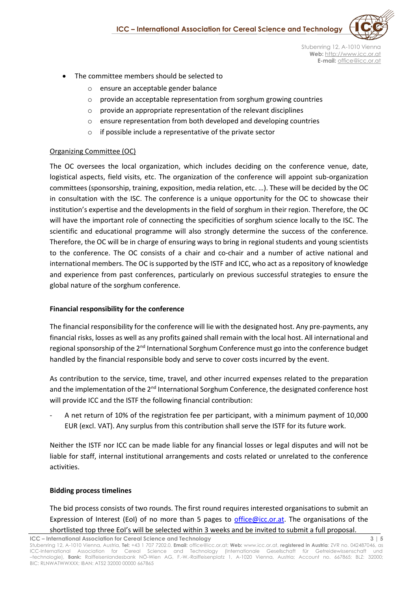

 Stubenring 12, A-1010 Vienna **Web:** [http://www.icc.or.at](http://www.icc.or.at/) **E-mail:** office@icc.or.at

- The committee members should be selected to
	- ensure an acceptable gender balance
	- o provide an acceptable representation from sorghum growing countries
	- $\circ$  provide an appropriate representation of the relevant disciplines
	- o ensure representation from both developed and developing countries
	- o if possible include a representative of the private sector

# Organizing Committee (OC)

The OC oversees the local organization, which includes deciding on the conference venue, date, logistical aspects, field visits, etc. The organization of the conference will appoint sub-organization committees (sponsorship, training, exposition, media relation, etc. …). These will be decided by the OC in consultation with the ISC. The conference is a unique opportunity for the OC to showcase their institution's expertise and the developments in the field of sorghum in their region. Therefore, the OC will have the important role of connecting the specificities of sorghum science locally to the ISC. The scientific and educational programme will also strongly determine the success of the conference. Therefore, the OC will be in charge of ensuring ways to bring in regional students and young scientists to the conference. The OC consists of a chair and co-chair and a number of active national and international members. The OC is supported by the ISTF and ICC, who act as a repository of knowledge and experience from past conferences, particularly on previous successful strategies to ensure the global nature of the sorghum conference.

# **Financial responsibility for the conference**

The financial responsibility for the conference will lie with the designated host. Any pre-payments, any financial risks, losses as well as any profits gained shall remain with the local host. All international and regional sponsorship of the 2<sup>nd</sup> International Sorghum Conference must go into the conference budget handled by the financial responsible body and serve to cover costs incurred by the event.

As contribution to the service, time, travel, and other incurred expenses related to the preparation and the implementation of the 2<sup>nd</sup> International Sorghum Conference, the designated conference host will provide ICC and the ISTF the following financial contribution:

- A net return of 10% of the registration fee per participant, with a minimum payment of 10,000 EUR (excl. VAT). Any surplus from this contribution shall serve the ISTF for its future work.

Neither the ISTF nor ICC can be made liable for any financial losses or legal disputes and will not be liable for staff, internal institutional arrangements and costs related or unrelated to the conference activities.

# **Bidding process timelines**

The bid process consists of two rounds. The first round requires interested organisations to submit an Expression of Interest (EoI) of no more than 5 pages to [office@icc.or.at.](mailto:office@icc.or.at) The organisations of the shortlisted top three EoI's will be selected within 3 weeks and be invited to submit a full proposal.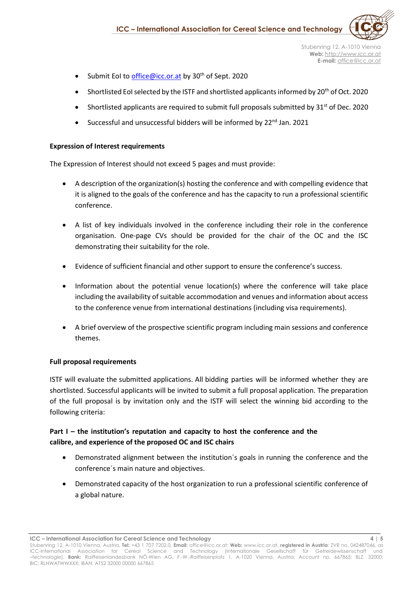

- Submit EoI to [office@icc.or.at](mailto:office@icc.or.at) by 30<sup>th</sup> of Sept. 2020
- Shortlisted EoI selected by the ISTF and shortlisted applicants informed by  $20<sup>th</sup>$  of Oct. 2020
- Shortlisted applicants are required to submit full proposals submitted by  $31^{st}$  of Dec. 2020
- Successful and unsuccessful bidders will be informed by 22<sup>nd</sup> Jan. 2021

### **Expression of Interest requirements**

The Expression of Interest should not exceed 5 pages and must provide:

- A description of the organization(s) hosting the conference and with compelling evidence that it is aligned to the goals of the conference and has the capacity to run a professional scientific conference.
- A list of key individuals involved in the conference including their role in the conference organisation. One-page CVs should be provided for the chair of the OC and the ISC demonstrating their suitability for the role.
- Evidence of sufficient financial and other support to ensure the conference's success.
- Information about the potential venue location(s) where the conference will take place including the availability of suitable accommodation and venues and information about access to the conference venue from international destinations (including visa requirements).
- A brief overview of the prospective scientific program including main sessions and conference themes.

### **Full proposal requirements**

ISTF will evaluate the submitted applications. All bidding parties will be informed whether they are shortlisted. Successful applicants will be invited to submit a full proposal application. The preparation of the full proposal is by invitation only and the ISTF will select the winning bid according to the following criteria:

# **Part I – the institution's reputation and capacity to host the conference and the calibre, and experience of the proposed OC and ISC chairs**

- Demonstrated alignment between the institution´s goals in running the conference and the conference´s main nature and objectives.
- Demonstrated capacity of the host organization to run a professional scientific conference of a global nature.

**ICC – International Association for Cereal Science and Technology 4 | 5**

Stubenring 12, A-1010 Vienna, Austria, **Tel:** +43 1 707 7202.0, **Email:** [office@icc.or.at;](mailto:office@icc.or.at) **Web:** [www.icc.or.at,](http://www.icc.or.at/) **registered in Austria**: ZVR no. 042487046, as ICC-International Association for Cereal Science and Technology (Internationale Gesellschaft für Getreidewissenschaft und –technologie), **Bank:** Raiffeisenlandesbank NÖ-Wien AG, F.-W.-Raiffeisenplatz 1, A-1020 Vienna, Austria; Account no. 667865; BLZ: 32000; BIC: RLNWATWWXXX; IBAN: AT52 32000 00000 667865